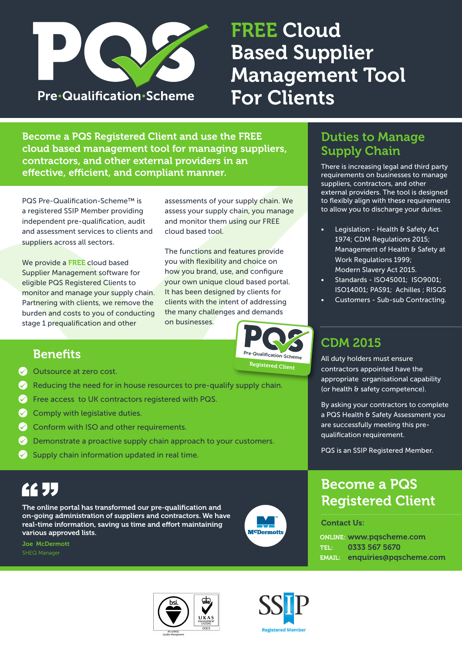

# FREE Cloud Based Supplier Management Tool For Clients

Become a PQS Registered Client and use the FREE cloud based management tool for managing suppliers, contractors, and other external providers in an effective, efficient, and compliant manner.

PQS Pre-Qualification-Scheme™ is a registered SSIP Member providing independent pre-qualification, audit and assessment services to clients and suppliers across all sectors.

We provide a FREE cloud based Supplier Management software for eligible PQS Registered Clients to monitor and manage your supply chain. Partnering with clients, we remove the burden and costs to you of conducting stage 1 prequalification and other

assessments of your supply chain. We assess your supply chain, you manage and monitor them using our FREE cloud based tool.

The functions and features provide you with flexibility and choice on how you brand, use, and configure your own unique cloud based portal. It has been designed by clients for clients with the intent of addressing the many challenges and demands on businesses.

### Duties to Manage Supply Chain

There is increasing legal and third party requirements on businesses to manage suppliers, contractors, and other external providers. The tool is designed to flexibly align with these requirements to allow you to discharge your duties.

- Legislation Health & Safety Act 1974; CDM Regulations 2015; Management of Health & Safety at Work Regulations 1999; Modern Slavery Act 2015.
- Standards ISO45001; ISO9001; ISO14001; PAS91; Achilles ; RISQS
- Customers Sub-sub Contracting.

By asking your contractors to complete a PQS Health & Safety Assessment you are successfully meeting this pre-

CDM 2015

All duty holders must ensure contractors appointed have the appropriate organisational capability (or health & safety competence).

qualification requirement.

### **Benefits**

- ◆ Outsource at zero cost.
- $\Diamond$  Reducing the need for in house resources to pre-qualify supply chain.
- Free access to UK contractors registered with PQS.
- Comply with legislative duties.
- Conform with ISO and other requirements.  $\curvearrowright$
- Demonstrate a proactive supply chain approach to your customers.
- Supply chain information updated in real time.

# **66 JJ**

The online portal has transformed our pre-qualification and on-going administration of suppliers and contractors. We have real-time information, saving us time and effort maintaining various approved lists.

Joe McDermott



Pre•Qualification•Scheme Registered Client



PQS is an SSIP Registered Member.

Contact Us:

ONLINE: www.pqscheme.com TEL: 0333 567 5670 EMAIL: enquiries@pqscheme.com